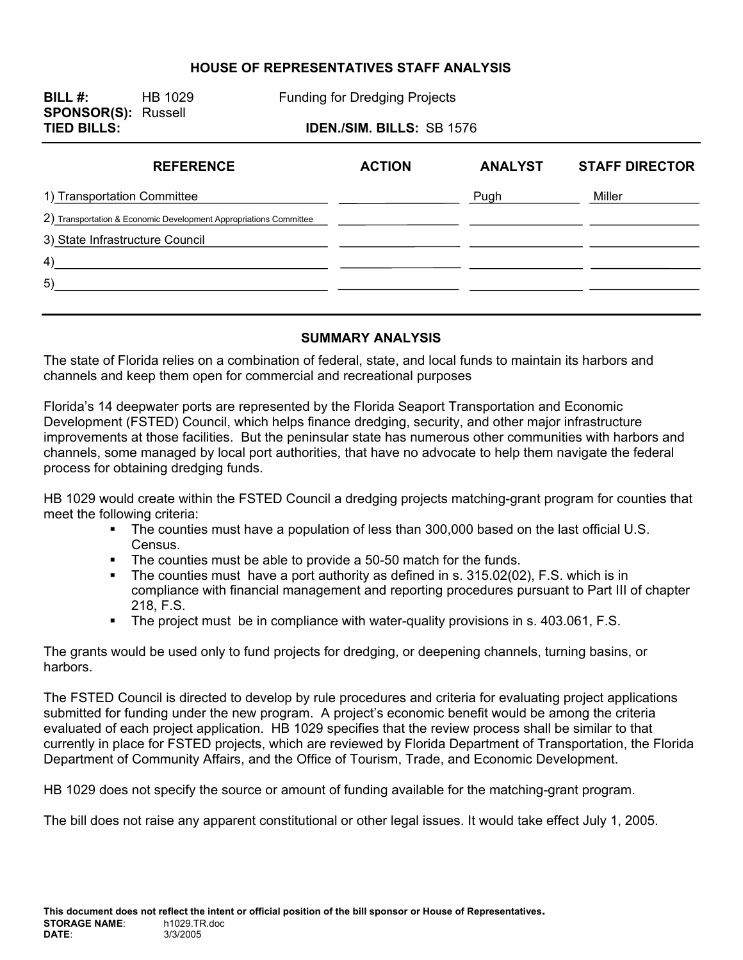### **HOUSE OF REPRESENTATIVES STAFF ANALYSIS**

**SPONSOR(S):** Russell

**BILL #:** HB 1029 Funding for Dredging Projects

## **TIED BILLS: IDEN./SIM. BILLS:** SB 1576

| <b>REFERENCE</b>                                                  | <b>ACTION</b> | <b>ANALYST</b> | <b>STAFF DIRECTOR</b> |
|-------------------------------------------------------------------|---------------|----------------|-----------------------|
| 1) Transportation Committee                                       |               | Pugh           | Miller                |
| 2) Transportation & Economic Development Appropriations Committee |               |                |                       |
| 3) State Infrastructure Council                                   |               |                |                       |
| 4)                                                                |               |                |                       |
| 5)                                                                |               |                |                       |
|                                                                   |               |                |                       |

#### **SUMMARY ANALYSIS**

The state of Florida relies on a combination of federal, state, and local funds to maintain its harbors and channels and keep them open for commercial and recreational purposes

Florida's 14 deepwater ports are represented by the Florida Seaport Transportation and Economic Development (FSTED) Council, which helps finance dredging, security, and other major infrastructure improvements at those facilities. But the peninsular state has numerous other communities with harbors and channels, some managed by local port authorities, that have no advocate to help them navigate the federal process for obtaining dredging funds.

HB 1029 would create within the FSTED Council a dredging projects matching-grant program for counties that meet the following criteria:

- The counties must have a population of less than 300,000 based on the last official U.S. Census.
- The counties must be able to provide a 50-50 match for the funds.
- The counties must have a port authority as defined in s. 315.02(02), F.S. which is in compliance with financial management and reporting procedures pursuant to Part III of chapter 218, F.S.
- The project must be in compliance with water-quality provisions in s. 403.061, F.S.

The grants would be used only to fund projects for dredging, or deepening channels, turning basins, or harbors.

The FSTED Council is directed to develop by rule procedures and criteria for evaluating project applications submitted for funding under the new program. A project's economic benefit would be among the criteria evaluated of each project application. HB 1029 specifies that the review process shall be similar to that currently in place for FSTED projects, which are reviewed by Florida Department of Transportation, the Florida Department of Community Affairs, and the Office of Tourism, Trade, and Economic Development.

HB 1029 does not specify the source or amount of funding available for the matching-grant program.

The bill does not raise any apparent constitutional or other legal issues. It would take effect July 1, 2005.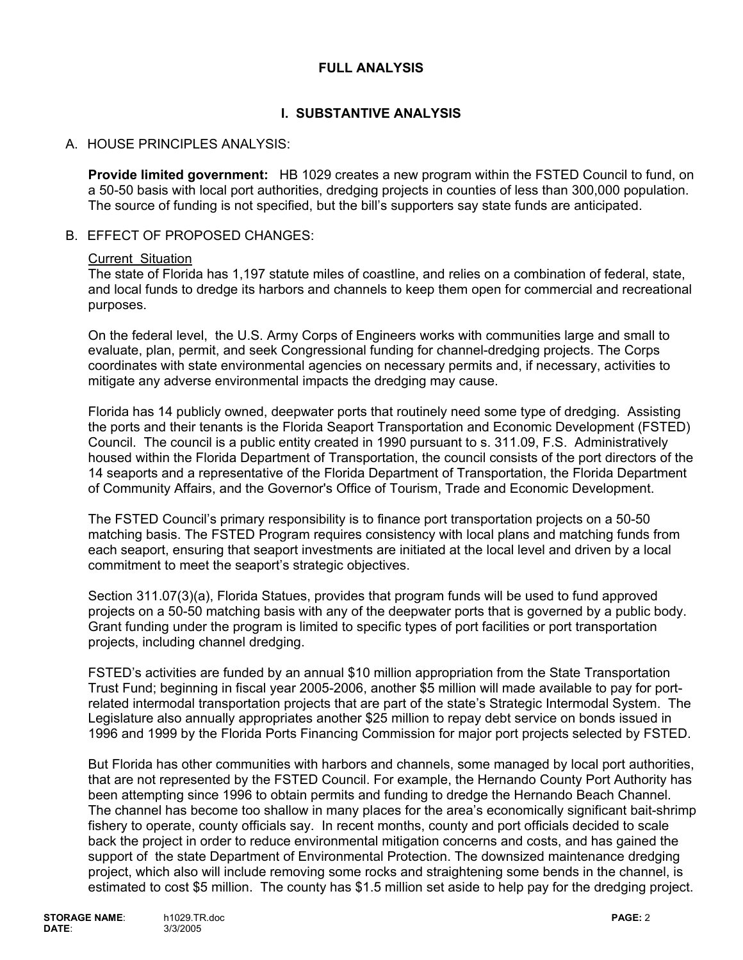# **FULL ANALYSIS**

# **I. SUBSTANTIVE ANALYSIS**

## A. HOUSE PRINCIPLES ANALYSIS:

**Provide limited government:** HB 1029 creates a new program within the FSTED Council to fund, on a 50-50 basis with local port authorities, dredging projects in counties of less than 300,000 population. The source of funding is not specified, but the bill's supporters say state funds are anticipated.

### B. EFFECT OF PROPOSED CHANGES:

#### Current Situation

The state of Florida has 1,197 statute miles of coastline, and relies on a combination of federal, state, and local funds to dredge its harbors and channels to keep them open for commercial and recreational purposes.

On the federal level, the U.S. Army Corps of Engineers works with communities large and small to evaluate, plan, permit, and seek Congressional funding for channel-dredging projects. The Corps coordinates with state environmental agencies on necessary permits and, if necessary, activities to mitigate any adverse environmental impacts the dredging may cause.

Florida has 14 publicly owned, deepwater ports that routinely need some type of dredging. Assisting the ports and their tenants is the Florida Seaport Transportation and Economic Development (FSTED) Council. The council is a public entity created in 1990 pursuant to s. 311.09, F.S. Administratively housed within the Florida Department of Transportation, the council consists of the port directors of the 14 seaports and a representative of the Florida Department of Transportation, the Florida Department of Community Affairs, and the Governor's Office of Tourism, Trade and Economic Development.

The FSTED Council's primary responsibility is to finance port transportation projects on a 50-50 matching basis. The FSTED Program requires consistency with local plans and matching funds from each seaport, ensuring that seaport investments are initiated at the local level and driven by a local commitment to meet the seaport's strategic objectives.

Section 311.07(3)(a), Florida Statues, provides that program funds will be used to fund approved projects on a 50-50 matching basis with any of the deepwater ports that is governed by a public body. Grant funding under the program is limited to specific types of port facilities or port transportation projects, including channel dredging.

FSTED's activities are funded by an annual \$10 million appropriation from the State Transportation Trust Fund; beginning in fiscal year 2005-2006, another \$5 million will made available to pay for portrelated intermodal transportation projects that are part of the state's Strategic Intermodal System. The Legislature also annually appropriates another \$25 million to repay debt service on bonds issued in 1996 and 1999 by the Florida Ports Financing Commission for major port projects selected by FSTED.

But Florida has other communities with harbors and channels, some managed by local port authorities, that are not represented by the FSTED Council. For example, the Hernando County Port Authority has been attempting since 1996 to obtain permits and funding to dredge the Hernando Beach Channel. The channel has become too shallow in many places for the area's economically significant bait-shrimp fishery to operate, county officials say. In recent months, county and port officials decided to scale back the project in order to reduce environmental mitigation concerns and costs, and has gained the support of the state Department of Environmental Protection. The downsized maintenance dredging project, which also will include removing some rocks and straightening some bends in the channel, is estimated to cost \$5 million. The county has \$1.5 million set aside to help pay for the dredging project.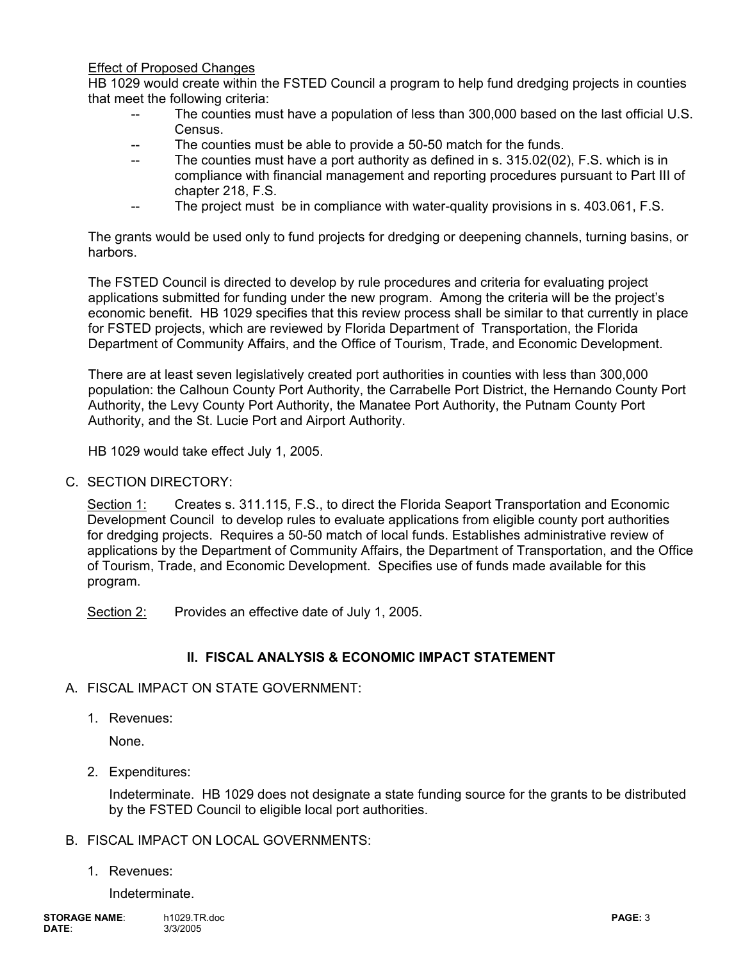Effect of Proposed Changes

HB 1029 would create within the FSTED Council a program to help fund dredging projects in counties that meet the following criteria:

- The counties must have a population of less than 300,000 based on the last official U.S. **Census**
- The counties must be able to provide a 50-50 match for the funds.
- -- The counties must have a port authority as defined in s. 315.02(02), F.S. which is in compliance with financial management and reporting procedures pursuant to Part III of chapter 218, F.S.
- -- The project must be in compliance with water-quality provisions in s. 403.061, F.S.

The grants would be used only to fund projects for dredging or deepening channels, turning basins, or harbors.

The FSTED Council is directed to develop by rule procedures and criteria for evaluating project applications submitted for funding under the new program. Among the criteria will be the project's economic benefit. HB 1029 specifies that this review process shall be similar to that currently in place for FSTED projects, which are reviewed by Florida Department of Transportation, the Florida Department of Community Affairs, and the Office of Tourism, Trade, and Economic Development.

There are at least seven legislatively created port authorities in counties with less than 300,000 population: the Calhoun County Port Authority, the Carrabelle Port District, the Hernando County Port Authority, the Levy County Port Authority, the Manatee Port Authority, the Putnam County Port Authority, and the St. Lucie Port and Airport Authority.

HB 1029 would take effect July 1, 2005.

C. SECTION DIRECTORY:

Section 1: Creates s. 311.115, F.S., to direct the Florida Seaport Transportation and Economic Development Council to develop rules to evaluate applications from eligible county port authorities for dredging projects. Requires a 50-50 match of local funds. Establishes administrative review of applications by the Department of Community Affairs, the Department of Transportation, and the Office of Tourism, Trade, and Economic Development. Specifies use of funds made available for this program.

Section 2: Provides an effective date of July 1, 2005.

# **II. FISCAL ANALYSIS & ECONOMIC IMPACT STATEMENT**

- A. FISCAL IMPACT ON STATE GOVERNMENT:
	- 1. Revenues:

None.

2. Expenditures:

Indeterminate. HB 1029 does not designate a state funding source for the grants to be distributed by the FSTED Council to eligible local port authorities.

## B. FISCAL IMPACT ON LOCAL GOVERNMENTS:

1. Revenues:

Indeterminate.